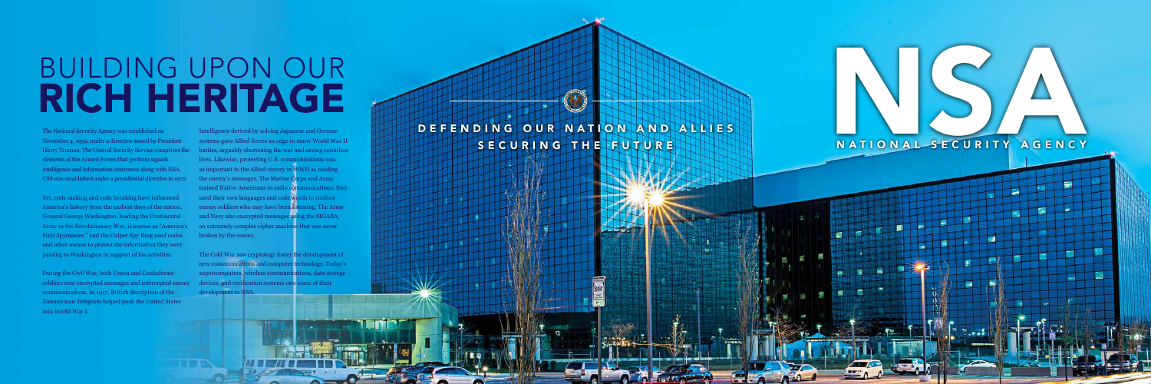DEFENDING OUR NATION AND ALLIES SECURING THE FUTURE

## BUILDING UPON OUR DEFINITION OF THE PUTS AND ALLIES NATIONAL SECURITY AGENCY



# BUILDING UPON OUR<br>RICH HERITAGE

The National Security Agency was established on November 4, 1952, under a directive issued by President Harry Truman. The Central Security Service comprises the elements of the Armed Forces that perform signals intelligence and information assurance along with NSA. CSS was established under a presidential directive in 1972.

Yet, code making and code breaking have influenced America's history from the earliest days of the nation. General George Washington, leading the Continental Army in the Revolutionary War, is known as "America's First Spymaster," and the Culper Spy Ring used codes and other means to protect the information they were passing to Washington in support of his activities.

During the Civil War, both Union and Confederate soldiers sent encrypted messages and intercepted enemy communications. In 1917, British decryption of the Zimmerman Telegram helped push the United States into World War I.

Intelligence derived by solving Japanese and German systems gave Allied forces an edge in many World War II battles, arguably shortening the war and saving countless lives. Likewise, protecting U.S. communications was as important to the Allied victory in WWII as reading the enemy's messages. The Marine Corps and Army trained Native Americans in radio communications; they used their own languages and code words to confuse enemy soldiers who may have been listening. The Army and Navy also encrypted messages using the SIGABA, an extremely complex cipher machine that was never broken by the enemy.

The Cold War saw cryptology foster the development of new communications and computer technology. Today's supercomputers, wireless communications, data storage devices, and verification systems owe some of their development to NSA.